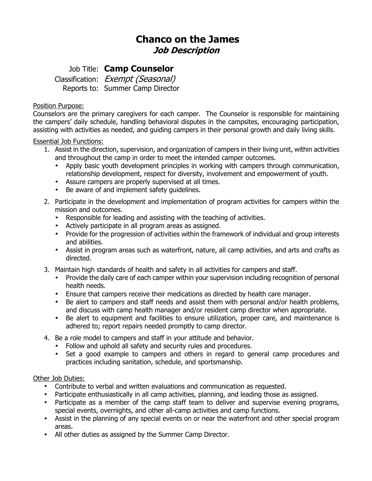# **Chanco on the James Job Description**

## Job Title: **Camp Counselor**

Classification: Exempt (Seasonal) Reports to: Summer Camp Director

### Position Purpose:

Counselors are the primary caregivers for each camper. The Counselor is responsible for maintaining the campers' daily schedule, handling behavioral disputes in the campsites, encouraging participation, assisting with activities as needed, and guiding campers in their personal growth and daily living skills.

### Essential Job Functions:

- 1. Assist in the direction, supervision, and organization of campers in their living unit, within activities and throughout the camp in order to meet the intended camper outcomes.
	- Apply basic youth development principles in working with campers through communication, relationship development, respect for diversity, involvement and empowerment of youth.
	- Assure campers are properly supervised at all times.
	- Be aware of and implement safety guidelines.
- 2. Participate in the development and implementation of program activities for campers within the mission and outcomes.
	- Responsible for leading and assisting with the teaching of activities.
	- Actively participate in all program areas as assigned.
	- Provide for the progression of activities within the framework of individual and group interests and abilities.
	- Assist in program areas such as waterfront, nature, all camp activities, and arts and crafts as directed.
- 3. Maintain high standards of health and safety in all activities for campers and staff.
	- Provide the daily care of each camper within your supervision including recognition of personal health needs.
	- Ensure that campers receive their medications as directed by health care manager.
	- Be alert to campers and staff needs and assist them with personal and/or health problems, and discuss with camp health manager and/or resident camp director when appropriate.
	- Be alert to equipment and facilities to ensure utilization, proper care, and maintenance is adhered to; report repairs needed promptly to camp director.
- 4. Be a role model to campers and staff in your attitude and behavior.
	- Follow and uphold all safety and security rules and procedures.
	- Set a good example to campers and others in regard to general camp procedures and practices including sanitation, schedule, and sportsmanship.

### Other Job Duties:

- Contribute to verbal and written evaluations and communication as requested.
- Participate enthusiastically in all camp activities, planning, and leading those as assigned.
- Participate as a member of the camp staff team to deliver and supervise evening programs, special events, overnights, and other all-camp activities and camp functions.
- Assist in the planning of any special events on or near the waterfront and other special program areas.
- All other duties as assigned by the Summer Camp Director.